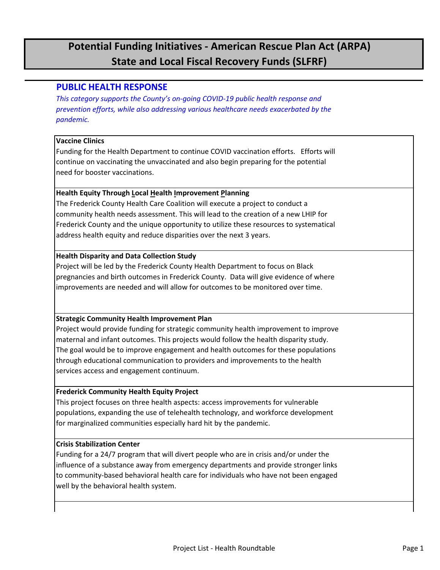## **Potential Funding Initiatives - American Rescue Plan Act (ARPA) State and Local Fiscal Recovery Funds (SLFRF)**

### **PUBLIC HEALTH RESPONSE**

*This category supports the County's on-going COVID-19 public health response and prevention efforts, while also addressing various healthcare needs exacerbated by the pandemic.*

#### **Vaccine Clinics**

Funding for the Health Department to continue COVID vaccination efforts. Efforts will continue on vaccinating the unvaccinated and also begin preparing for the potential need for booster vaccinations.

#### **Health Equity Through Local Health Improvement Planning**

The Frederick County Health Care Coalition will execute a project to conduct a community health needs assessment. This will lead to the creation of a new LHIP for Frederick County and the unique opportunity to utilize these resources to systematical address health equity and reduce disparities over the next 3 years.

#### **Health Disparity and Data Collection Study**

Project will be led by the Frederick County Health Department to focus on Black pregnancies and birth outcomes in Frederick County. Data will give evidence of where improvements are needed and will allow for outcomes to be monitored over time.

#### **Strategic Community Health Improvement Plan**

Project would provide funding for strategic community health improvement to improve maternal and infant outcomes. This projects would follow the health disparity study. The goal would be to improve engagement and health outcomes for these populations through educational communication to providers and improvements to the health services access and engagement continuum.

#### **Frederick Community Health Equity Project**

This project focuses on three health aspects: access improvements for vulnerable populations, expanding the use of telehealth technology, and workforce development for marginalized communities especially hard hit by the pandemic.

#### **Crisis Stabilization Center**

Funding for a 24/7 program that will divert people who are in crisis and/or under the influence of a substance away from emergency departments and provide stronger links to community-based behavioral health care for individuals who have not been engaged well by the behavioral health system.